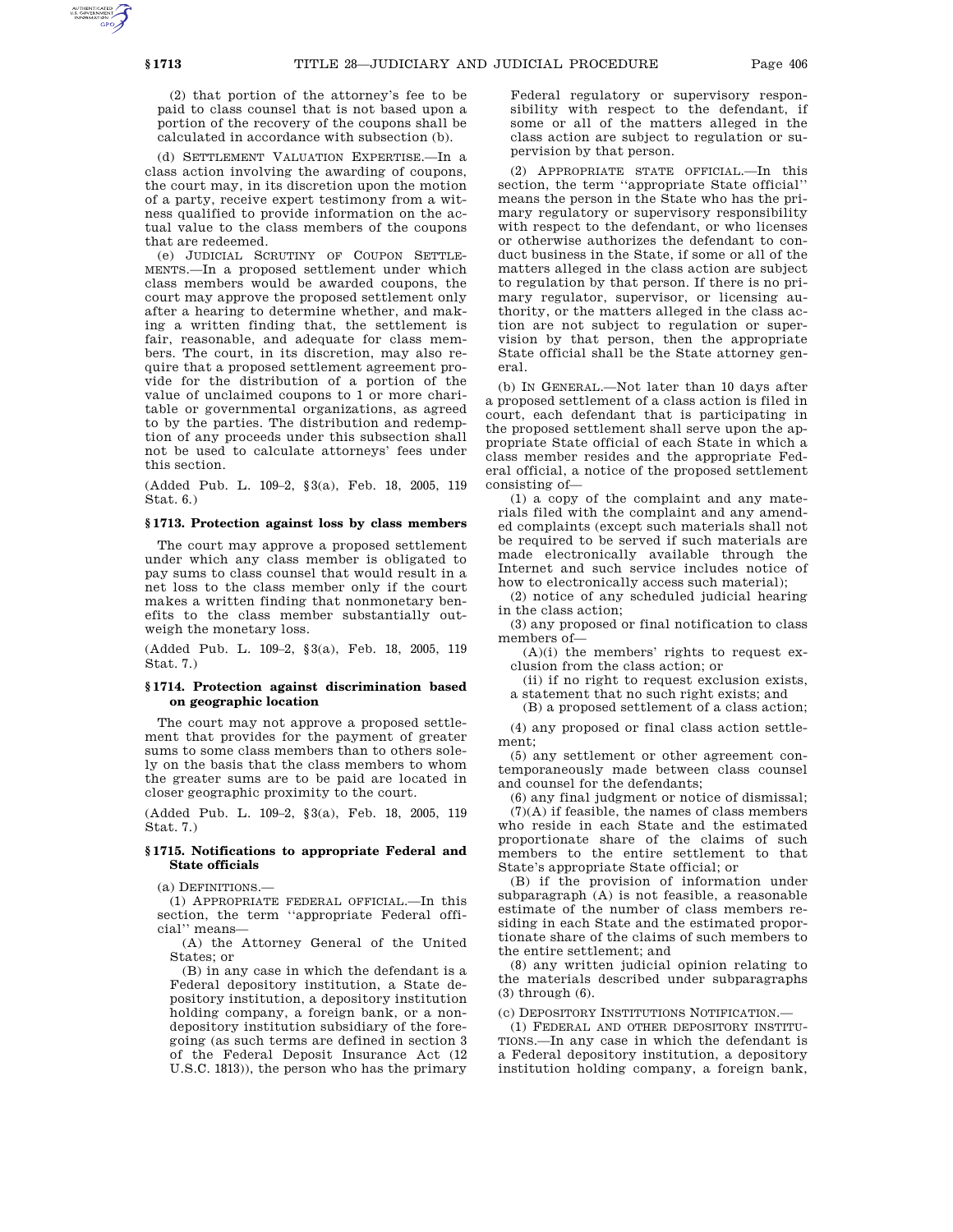(2) that portion of the attorney's fee to be paid to class counsel that is not based upon a portion of the recovery of the coupons shall be calculated in accordance with subsection (b).

(d) SETTLEMENT VALUATION EXPERTISE.—In a class action involving the awarding of coupons, the court may, in its discretion upon the motion of a party, receive expert testimony from a witness qualified to provide information on the actual value to the class members of the coupons that are redeemed.

(e) JUDICIAL SCRUTINY OF COUPON SETTLE-MENTS.—In a proposed settlement under which class members would be awarded coupons, the court may approve the proposed settlement only after a hearing to determine whether, and making a written finding that, the settlement is fair, reasonable, and adequate for class members. The court, in its discretion, may also require that a proposed settlement agreement provide for the distribution of a portion of the value of unclaimed coupons to 1 or more charitable or governmental organizations, as agreed to by the parties. The distribution and redemption of any proceeds under this subsection shall not be used to calculate attorneys' fees under this section.

(Added Pub. L. 109–2, §3(a), Feb. 18, 2005, 119 Stat. 6.)

## **§ 1713. Protection against loss by class members**

The court may approve a proposed settlement under which any class member is obligated to pay sums to class counsel that would result in a net loss to the class member only if the court makes a written finding that nonmonetary benefits to the class member substantially outweigh the monetary loss.

(Added Pub. L. 109–2, §3(a), Feb. 18, 2005, 119 Stat. 7.)

### **§ 1714. Protection against discrimination based on geographic location**

The court may not approve a proposed settlement that provides for the payment of greater sums to some class members than to others solely on the basis that the class members to whom the greater sums are to be paid are located in closer geographic proximity to the court.

(Added Pub. L. 109–2, §3(a), Feb. 18, 2005, 119 Stat. 7.)

## **§ 1715. Notifications to appropriate Federal and State officials**

(a) DEFINITIONS.—

(1) APPROPRIATE FEDERAL OFFICIAL.—In this section, the term ''appropriate Federal official'' means—

(A) the Attorney General of the United States; or

(B) in any case in which the defendant is a Federal depository institution, a State depository institution, a depository institution holding company, a foreign bank, or a nondepository institution subsidiary of the foregoing (as such terms are defined in section 3 of the Federal Deposit Insurance Act (12 U.S.C. 1813)), the person who has the primary Federal regulatory or supervisory responsibility with respect to the defendant, if some or all of the matters alleged in the class action are subject to regulation or supervision by that person.

(2) APPROPRIATE STATE OFFICIAL.—In this section, the term ''appropriate State official'' means the person in the State who has the primary regulatory or supervisory responsibility with respect to the defendant, or who licenses or otherwise authorizes the defendant to conduct business in the State, if some or all of the matters alleged in the class action are subject to regulation by that person. If there is no primary regulator, supervisor, or licensing authority, or the matters alleged in the class action are not subject to regulation or supervision by that person, then the appropriate State official shall be the State attorney general.

(b) IN GENERAL.—Not later than 10 days after a proposed settlement of a class action is filed in court, each defendant that is participating in the proposed settlement shall serve upon the appropriate State official of each State in which a class member resides and the appropriate Federal official, a notice of the proposed settlement consisting of—

(1) a copy of the complaint and any materials filed with the complaint and any amended complaints (except such materials shall not be required to be served if such materials are made electronically available through the Internet and such service includes notice of how to electronically access such material);

(2) notice of any scheduled judicial hearing in the class action;

(3) any proposed or final notification to class members of—

 $(A)(i)$  the members' rights to request exclusion from the class action; or

(ii) if no right to request exclusion exists,

a statement that no such right exists; and (B) a proposed settlement of a class action;

(4) any proposed or final class action settlement;

(5) any settlement or other agreement contemporaneously made between class counsel and counsel for the defendants;

(6) any final judgment or notice of dismissal; (7)(A) if feasible, the names of class members who reside in each State and the estimated proportionate share of the claims of such members to the entire settlement to that State's appropriate State official; or

(B) if the provision of information under subparagraph (A) is not feasible, a reasonable estimate of the number of class members residing in each State and the estimated proportionate share of the claims of such members to the entire settlement; and

(8) any written judicial opinion relating to the materials described under subparagraphs (3) through (6).

(c) DEPOSITORY INSTITUTIONS NOTIFICATION.—

(1) FEDERAL AND OTHER DEPOSITORY INSTITU-TIONS.—In any case in which the defendant is a Federal depository institution, a depository institution holding company, a foreign bank,